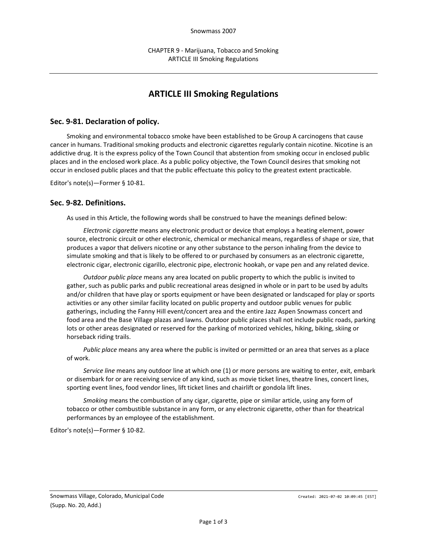# **ARTICLE III Smoking Regulations**

## **Sec. 9-81. Declaration of policy.**

Smoking and environmental tobacco smoke have been established to be Group A carcinogens that cause cancer in humans. Traditional smoking products and electronic cigarettes regularly contain nicotine. Nicotine is an addictive drug. It is the express policy of the Town Council that abstention from smoking occur in enclosed public places and in the enclosed work place. As a public policy objective, the Town Council desires that smoking not occur in enclosed public places and that the public effectuate this policy to the greatest extent practicable.

Editor's note(s)—Former § 10-81.

#### **Sec. 9-82. Definitions.**

As used in this Article, the following words shall be construed to have the meanings defined below:

*Electronic cigarette* means any electronic product or device that employs a heating element, power source, electronic circuit or other electronic, chemical or mechanical means, regardless of shape or size, that produces a vapor that delivers nicotine or any other substance to the person inhaling from the device to simulate smoking and that is likely to be offered to or purchased by consumers as an electronic cigarette, electronic cigar, electronic cigarillo, electronic pipe, electronic hookah, or vape pen and any related device.

*Outdoor public place* means any area located on public property to which the public is invited to gather, such as public parks and public recreational areas designed in whole or in part to be used by adults and/or children that have play or sports equipment or have been designated or landscaped for play or sports activities or any other similar facility located on public property and outdoor public venues for public gatherings, including the Fanny Hill event/concert area and the entire Jazz Aspen Snowmass concert and food area and the Base Village plazas and lawns. Outdoor public places shall not include public roads, parking lots or other areas designated or reserved for the parking of motorized vehicles, hiking, biking, skiing or horseback riding trails.

*Public place* means any area where the public is invited or permitted or an area that serves as a place of work.

*Service line* means any outdoor line at which one (1) or more persons are waiting to enter, exit, embark or disembark for or are receiving service of any kind, such as movie ticket lines, theatre lines, concert lines, sporting event lines, food vendor lines, lift ticket lines and chairlift or gondola lift lines.

*Smoking* means the combustion of any cigar, cigarette, pipe or similar article, using any form of tobacco or other combustible substance in any form, or any electronic cigarette, other than for theatrical performances by an employee of the establishment.

Editor's note(s)—Former § 10-82.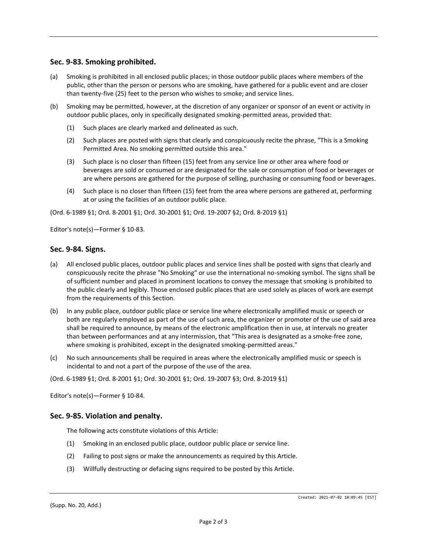## **Sec. 9-83. Smoking prohibited.**

- (a) Smoking is prohibited in all enclosed public places; in those outdoor public places where members of the public, other than the person or persons who are smoking, have gathered for a public event and are closer than twenty-five (25) feet to the person who wishes to smoke; and service lines.
- (b) Smoking may be permitted, however, at the discretion of any organizer or sponsor of an event or activity in outdoor public places, only in specifically designated smoking-permitted areas, provided that:
	- (1) Such places are clearly marked and delineated as such.
	- (2) Such places are posted with signs that clearly and conspicuously recite the phrase, "This is a Smoking Permitted Area. No smoking permitted outside this area."
	- (3) Such place is no closer than fifteen (15) feet from any service line or other area where food or beverages are sold or consumed or are designated for the sale or consumption of food or beverages or are where persons are gathered for the purpose of selling, purchasing or consuming food or beverages.
	- (4) Such place is no closer than fifteen (15) feet from the area where persons are gathered at, performing at or using the facilities of an outdoor public place.

(Ord. 6-1989 §1; Ord. 8-2001 §1; Ord. 30-2001 §1; Ord. 19-2007 §2; Ord. 8-2019 §1)

Editor's note(s)—Former § 10-83.

#### **Sec. 9-84. Signs.**

- (a) All enclosed public places, outdoor public places and service lines shall be posted with signs that clearly and conspicuously recite the phrase "No Smoking" or use the international no-smoking symbol. The signs shall be of sufficient number and placed in prominent locations to convey the message that smoking is prohibited to the public clearly and legibly. Those enclosed public places that are used solely as places of work are exempt from the requirements of this Section.
- (b) In any public place, outdoor public place or service line where electronically amplified music or speech or both are regularly employed as part of the use of such area, the organizer or promoter of the use of said area shall be required to announce, by means of the electronic amplification then in use, at intervals no greater than between performances and at any intermission, that "This area is designated as a smoke-free zone, where smoking is prohibited, except in the designated smoking-permitted areas."
- (c) No such announcements shall be required in areas where the electronically amplified music or speech is incidental to and not a part of the purpose of the use of the area.

(Ord. 6-1989 §1; Ord. 8-2001 §1; Ord. 30-2001 §1; Ord. 19-2007 §3; Ord. 8-2019 §1)

Editor's note(s)—Former § 10-84.

#### **Sec. 9-85. Violation and penalty.**

The following acts constitute violations of this Article:

- (1) Smoking in an enclosed public place, outdoor public place or service line.
- (2) Failing to post signs or make the announcements as required by this Article.
- (3) Willfully destructing or defacing signs required to be posted by this Article.

(Supp. No. 20, Add.)